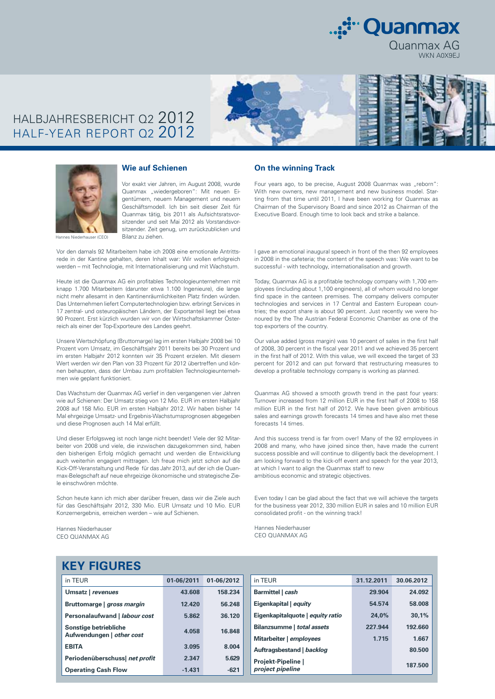

## HALBJAHRESBERICHT Q2 2012 HALF-YEAR REPORT Q2 2012





#### **Wie auf Schienen**

Vor exakt vier Jahren, im August 2008, wurde Quanmax "wiedergeboren": Mit neuen Eigentümern, neuem Management und neuem Geschäftsmodell. Ich bin seit dieser Zeit für Quanmax tätig, bis 2011 als Aufsichtsratsvorsitzender und seit Mai 2012 als Vorstandsvorsitzender. Zeit genug, um zurückzublicken und Bilanz zu ziehen.

Vor den damals 92 Mitarbeitern habe ich 2008 eine emotionale Antrittsrede in der Kantine gehalten, deren Inhalt war: Wir wollen erfolgreich werden – mit Technologie, mit Internationalisierung und mit Wachstum.

Heute ist die Quanmax AG ein profitables Technologieunternehmen mit knapp 1.700 Mitarbeitern (darunter etwa 1.100 Ingenieure), die lange nicht mehr allesamt in den Kantinenräumlichkeiten Platz finden würden. Das Unternehmen liefert Computertechnologien bzw. erbringt Services in 17 zentral- und osteuropäischen Ländern, der Exportanteil liegt bei etwa 90 Prozent. Erst kürzlich wurden wir von der Wirtschaftskammer Österreich als einer der Top-Exporteure des Landes geehrt.

Unsere Wertschöpfung (Bruttomarge) lag im ersten Halbjahr 2008 bei 10 Prozent vom Umsatz, im Geschäftsjahr 2011 bereits bei 30 Prozent und im ersten Halbjahr 2012 konnten wir 35 Prozent erzielen. Mit diesem Wert werden wir den Plan von 33 Prozent für 2012 übertreffen und können behaupten, dass der Umbau zum profitablen Technologieunternehmen wie geplant funktioniert.

Das Wachstum der Quanmax AG verlief in den vergangenen vier Jahren wie auf Schienen: Der Umsatz stieg von 12 Mio. EUR im ersten Halbjahr 2008 auf 158 Mio. EUR im ersten Halbjahr 2012. Wir haben bisher 14 Mal ehrgeizige Umsatz- und Ergebnis-Wachstumsprognosen abgegeben und diese Prognosen auch 14 Mal erfüllt.

Und dieser Erfolgsweg ist noch lange nicht beendet! Viele der 92 Mitarbeiter von 2008 und viele, die inzwischen dazugekommen sind, haben den bisherigen Erfolg möglich gemacht und werden die Entwicklung auch weiterhin engagiert mittragen. Ich freue mich jetzt schon auf die Kick-Off-Veranstaltung und Rede für das Jahr 2013, auf der ich die Quanmax-Belegschaft auf neue ehrgeizige ökonomische und strategische Ziele einschwören möchte.

Schon heute kann ich mich aber darüber freuen, dass wir die Ziele auch für das Geschäftsjahr 2012, 330 Mio. EUR Umsatz und 10 Mio. EUR Konzernergebnis, erreichen werden – wie auf Schienen.

Hannes Niederhauser CEO QUANMAX AG

#### **On the winning Track**

Four years ago, to be precise, August 2008 Quanmax was "reborn": With new owners, new management and new business model. Starting from that time until 2011, I have been working for Quanmax as Chairman of the Supervisory Board and since 2012 as Chairman of the Executive Board. Enough time to look back and strike a balance.

I gave an emotional inaugural speech in front of the then 92 employees in 2008 in the cafeteria; the content of the speech was: We want to be successful - with technology, internationalisation and growth.

Today, Quanmax AG is a profitable technology company with 1,700 employees (including about 1,100 engineers), all of whom would no longer find space in the canteen premises. The company delivers computer technologies and services in 17 Central and Eastern European countries; the export share is about 90 percent. Just recently we were honoured by the The Austrian Federal Economic Chamber as one of the top exporters of the country.

Our value added (gross margin) was 10 percent of sales in the first half of 2008, 30 percent in the fiscal year 2011 and we achieved 35 percent in the first half of 2012. With this value, we will exceed the target of 33 percent for 2012 and can put forward that restructuring measures to develop a profitable technology company is working as planned.

Quanmax AG showed a smooth growth trend in the past four years: Turnover increased from 12 million EUR in the first half of 2008 to 158 million EUR in the first half of 2012. We have been given ambitious sales and earnings growth forecasts 14 times and have also met these forecasts 14 times.

And this success trend is far from over! Many of the 92 employees in 2008 and many, who have joined since then, have made the current success possible and will continue to diligently back the development. I am looking forward to the kick-off event and speech for the year 2013, at which I want to align the Quanmax staff to new ambitious economic and strategic objectives.

Even today I can be glad about the fact that we will achieve the targets for the business year 2012, 330 million EUR in sales and 10 million EUR consolidated profit - on the winning track!

Hannes Niederhauser CEO QUANMAX AG

### **KEY FIGURES**

| in TEUR                                            | 01-06/2011 | 01-06/2012 |
|----------------------------------------------------|------------|------------|
| Umsatz   revenues                                  | 43.608     | 158.234    |
| Bruttomarge   gross margin                         | 12.420     | 56.248     |
| Personalaufwand   labour cost                      | 5.862      | 36.120     |
| Sonstige betriebliche<br>Aufwendungen   other cost | 4.058      | 16.848     |
| <b>EBITA</b>                                       | 3.095      | 8.004      |
| Periodenüberschussl net profit                     | 2.347      | 5.629      |
| <b>Operating Cash Flow</b>                         | $-1.431$   | $-621$     |

| in TEUR                                | 31.12.2011 | 30.06.2012 |
|----------------------------------------|------------|------------|
| Barmittel   cash                       | 29.904     | 24.092     |
| Eigenkapital   equity                  | 54.574     | 58.008     |
| Eigenkapitalquote   equity ratio       | 24.0%      | 30.1%      |
| Bilanzsumme   total assets             | 227.944    | 192.660    |
| Mitarbeiter   employees                | 1.715      | 1.667      |
| Auftragsbestand   backlog              |            | 80.500     |
| Projekt-Pipeline  <br>project pipeline |            | 187.500    |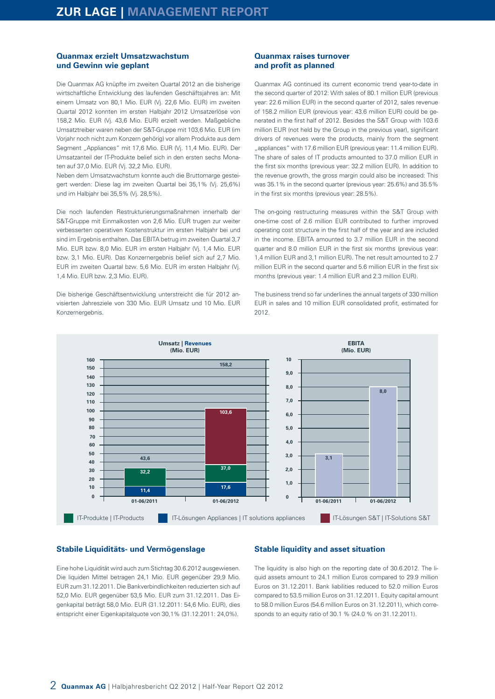#### **Quanmax erzielt Umsatzwachstum und Gewinn wie geplant**

Die Quanmax AG knüpfte im zweiten Quartal 2012 an die bisherige wirtschaftliche Entwicklung des laufenden Geschäftsjahres an: Mit einem Umsatz von 80,1 Mio. EUR (Vj. 22,6 Mio. EUR) im zweiten Quartal 2012 konnten im ersten Halbjahr 2012 Umsatzerlöse von 158,2 Mio. EUR (Vj. 43,6 Mio. EUR) erzielt werden. Maßgebliche Umsatztreiber waren neben der S&T-Gruppe mit 103,6 Mio. EUR (im Vorjahr noch nicht zum Konzern gehörig) vor allem Produkte aus dem Segment "Appliances" mit 17,6 Mio. EUR (Vj. 11,4 Mio. EUR). Der Umsatzanteil der IT-Produkte belief sich in den ersten sechs Monaten auf 37,0 Mio. EUR (Vj. 32,2 Mio. EUR).

Neben dem Umsatzwachstum konnte auch die Bruttomarge gesteigert werden: Diese lag im zweiten Quartal bei 35,1% (Vj. 25,6%) und im Halbjahr bei 35,5% (Vj. 28,5%).

Die noch laufenden Restrukturierungsmaßnahmen innerhalb der S&T-Gruppe mit Einmalkosten von 2,6 Mio. EUR trugen zur weiter verbesserten operativen Kostenstruktur im ersten Halbjahr bei und sind im Ergebnis enthalten. Das EBITA betrug im zweiten Quartal 3,7 Mio. EUR bzw. 8,0 Mio. EUR im ersten Halbjahr (Vj. 1,4 Mio. EUR bzw. 3,1 Mio. EUR). Das Konzernergebnis belief sich auf 2,7 Mio. EUR im zweiten Quartal bzw. 5,6 Mio. EUR im ersten Halbjahr (Vj. 1,4 Mio. EUR bzw. 2,3 Mio. EUR).

Die bisherige Geschäftsentwicklung unterstreicht die für 2012 anvisierten Jahresziele von 330 Mio. EUR Umsatz und 10 Mio. EUR Konzernergebnis.

#### **Quanmax raises turnover and profit as planned**

Quanmax AG continued its current economic trend year-to-date in the second quarter of 2012: With sales of 80.1 million EUR (previous year: 22.6 million EUR) in the second quarter of 2012, sales revenue of 158.2 million EUR (previous year: 43.6 million EUR) could be generated in the first half of 2012. Besides the S&T Group with 103.6 million EUR (not held by the Group in the previous year), significant drivers of revenues were the products, mainly from the segment "appliances" with 17.6 million EUR (previous year: 11.4 million EUR). The share of sales of IT products amounted to 37.0 million EUR in the first six months (previous year: 32.2 million EUR). In addition to the revenue growth, the gross margin could also be increased: This was 35.1% in the second quarter (previous year: 25.6%) and 35.5% in the first six months (previous year: 28.5%).

The on-going restructuring measures within the S&T Group with one-time cost of 2.6 million EUR contributed to further improved operating cost structure in the first half of the year and are included in the income. EBITA amounted to 3.7 million EUR in the second quarter and 8.0 million EUR in the first six months (previous year: 1,4 million EUR and 3,1 million EUR). The net result amounted to 2.7 million EUR in the second quarter and 5.6 million EUR in the first six months (previous year: 1.4 million EUR and 2.3 million EUR).

The business trend so far underlines the annual targets of 330 million EUR in sales and 10 million EUR consolidated profit, estimated for 2012.



#### **Stabile Liquiditäts- und Vermögenslage**

Eine hohe Liquidität wird auch zum Stichtag 30.6.2012 ausgewiesen. Die liquiden Mittel betragen 24,1 Mio. EUR gegenüber 29,9 Mio. EUR zum 31.12.2011. Die Bankverbindlichkeiten reduzierten sich auf 52,0 Mio. EUR gegenüber 53,5 Mio. EUR zum 31.12.2011. Das Eigenkapital beträgt 58,0 Mio. EUR (31.12.2011: 54,6 Mio. EUR), dies entspricht einer Eigenkapitalquote von 30,1% (31.12.2011: 24,0%).

#### **Stable liquidity and asset situation**

The liquidity is also high on the reporting date of 30.6.2012. The liquid assets amount to 24.1 million Euros compared to 29.9 million Euros on 31.12.2011. Bank liabilities reduced to 52.0 million Euros compared to 53.5 million Euros on 31.12.2011. Equity capital amount to 58.0 million Euros (54.6 million Euros on 31.12.2011), which corresponds to an equity ratio of 30.1 % (24.0 % on 31.12.2011).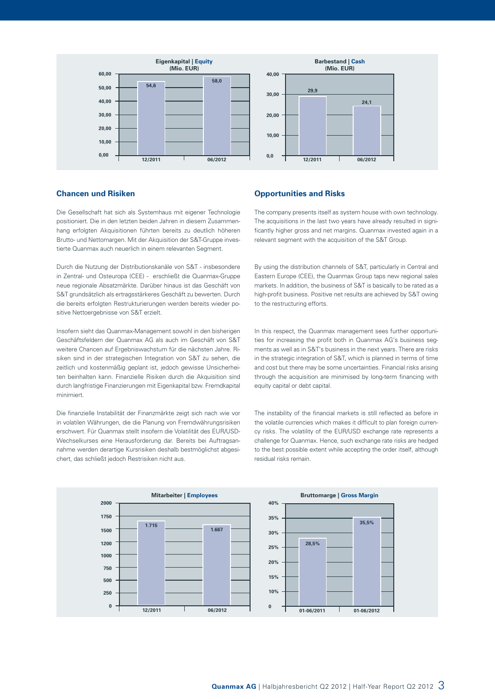

#### **Chancen und Risiken**

Die Gesellschaft hat sich als Systemhaus mit eigener Technologie positioniert. Die in den letzten beiden Jahren in diesem Zusammenhang erfolgten Akquisitionen führten bereits zu deutlich höheren Brutto- und Nettomargen. Mit der Akquisition der S&T-Gruppe investierte Quanmax auch neuerlich in einem relevanten Segment.

Durch die Nutzung der Distributionskanäle von S&T - insbesondere in Zentral- und Osteuropa (CEE) - erschließt die Quanmax-Gruppe neue regionale Absatzmärkte. Darüber hinaus ist das Geschäft von S&T grundsätzlich als ertragsstärkeres Geschäft zu bewerten. Durch die bereits erfolgten Restrukturierungen werden bereits wieder positive Nettoergebnisse von S&T erzielt.

Insofern sieht das Quanmax-Management sowohl in den bisherigen Geschäftsfeldern der Quanmax AG als auch im Geschäft von S&T weitere Chancen auf Ergebniswachstum für die nächsten Jahre. Risiken sind in der strategischen Integration von S&T zu sehen, die zeitlich und kostenmäßig geplant ist, jedoch gewisse Unsicherheiten beinhalten kann. Finanzielle Risiken durch die Akquisition sind durch langfristige Finanzierungen mit Eigenkapital bzw. Fremdkapital minimiert.

Die finanzielle Instabilität der Finanzmärkte zeigt sich nach wie vor in volatilen Währungen, die die Planung von Fremdwährungsrisiken erschwert. Für Quanmax stellt insofern die Volatilität des EUR/USD-Wechselkurses eine Herausforderung dar. Bereits bei Auftragsannahme werden derartige Kursrisiken deshalb bestmöglichst abgesichert, das schließt jedoch Restrisiken nicht aus.

#### **Opportunities and Risks**

The company presents itself as system house with own technology. The acquisitions in the last two years have already resulted in significantly higher gross and net margins. Quanmax invested again in a relevant segment with the acquisition of the S&T Group.

By using the distribution channels of S&T, particularly in Central and Eastern Europe (CEE), the Quanmax Group taps new regional sales markets. In addition, the business of S&T is basically to be rated as a high-profit business. Positive net results are achieved by S&T owing to the restructuring efforts.

In this respect, the Quanmax management sees further opportunities for increasing the profit both in Quanmax AG's business segments as well as in S&T's business in the next years. There are risks in the strategic integration of S&T, which is planned in terms of time and cost but there may be some uncertainties. Financial risks arising through the acquisition are minimised by long-term financing with equity capital or debt capital.

The instability of the financial markets is still reflected as before in the volatile currencies which makes it difficult to plan foreign currency risks. The volatility of the EUR/USD exchange rate represents a challenge for Quanmax. Hence, such exchange rate risks are hedged to the best possible extent while accepting the order itself, although residual risks remain.

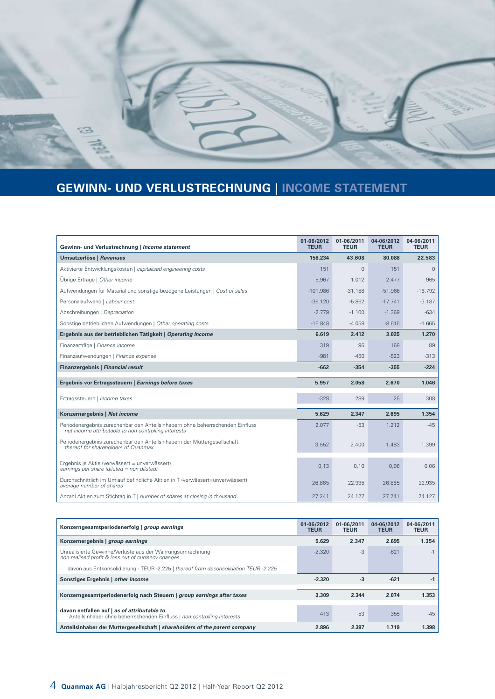

# **GEWINN- UND VERLUSTRECHNUNG | INCOME STATEMENT**

| Gewinn- und Verlustrechnung   Income statement                                                                                        | 01-06/2012<br><b>TEUR</b> | 01-06/2011<br><b>TEUR</b> | 04-06/2012<br><b>TEUR</b> | 04-06/2011<br><b>TEUR</b> |
|---------------------------------------------------------------------------------------------------------------------------------------|---------------------------|---------------------------|---------------------------|---------------------------|
| Umsatzerlöse   Revenues                                                                                                               | 158.234                   | 43.608                    | 80.088                    | 22.583                    |
| Aktivierte Entwicklungskosten   capitalised engineering costs                                                                         | 151                       | $\mathbf{0}$              | 151                       | $\mathbf{0}$              |
| Übrige Erträge   Other income                                                                                                         | 5.967                     | 1.012                     | 2.477                     | 965                       |
| Aufwendungen für Material und sonstige bezogene Leistungen   Cost of sales                                                            | $-101.986$                | $-31.188$                 | $-51.966$                 | $-16.792$                 |
| Personalaufwand   Labour cost                                                                                                         | $-36.120$                 | $-5.862$                  | $-17.741$                 | $-3.187$                  |
| Abschreibungen   Depreciation                                                                                                         | $-2.779$                  | $-1.100$                  | $-1.369$                  | $-634$                    |
| Sonstige betrieblichen Aufwendungen   Other operating costs                                                                           | $-16.848$                 | $-4.058$                  | $-8.615$                  | $-1.665$                  |
| Ergebnis aus der betrieblichen Tätigkeit   Operating Income                                                                           | 6.619                     | 2.412                     | 3.025                     | 1.270                     |
| Finanzerträge   Finance income                                                                                                        | 319                       | 96                        | 168                       | 89                        |
| Finanzaufwendungen   Finance expense                                                                                                  | $-981$                    | $-450$                    | $-523$                    | $-313$                    |
| Finanzergebnis   Financial result                                                                                                     | $-662$                    | $-354$                    | $-355$                    | $-224$                    |
| Ergebnis vor Ertragssteuern   Earnings before taxes                                                                                   | 5.957                     | 2.058                     | 2.670                     | 1.046                     |
| Ertragssteuern   Income taxes                                                                                                         | $-328$                    | 289                       | 25                        | 308                       |
| Konzernergebnis   Net income                                                                                                          | 5.629                     | 2.347                     | 2.695                     | 1.354                     |
| Periodenergebnis zurechenbar den Anteilsinhabern ohne beherrschenden Einfluss<br>net income attributable to non controlling interests | 2.077                     | $-53$                     | 1.212                     | $-45$                     |
| Periodenergebnis zurechenbar den Anteilsinhabern der Muttergesellschaft<br>thereof for shareholders of Quanmax                        | 3.552                     | 2.400                     | 1.483                     | 1.399                     |
| Ergebnis je Aktie (verwässert = unverwässert)<br>earnings per share (diluted = non diluted)                                           | 0,13                      | 0,10                      | 0,06                      | 0,06                      |
| Durchschnittlich im Umlauf befindliche Aktien in T (verwässert=unverwässert)<br>average number of shares                              | 26.865                    | 22.935                    | 26.865                    | 22.935                    |
|                                                                                                                                       |                           |                           |                           |                           |

| Konzerngesamtperiodenerfolg   group earnings                                                                           | 01-06/2012<br><b>TEUR</b> | 01-06/2011<br><b>TEUR</b> | 04-06/2012<br><b>TEUR</b> | 04-06/2011<br><b>TEUR</b> |
|------------------------------------------------------------------------------------------------------------------------|---------------------------|---------------------------|---------------------------|---------------------------|
| Konzernergebnis   group earnings                                                                                       | 5.629                     | 2.347                     | 2.695                     | 1.354                     |
| Unrealisierte Gewinne/Verluste aus der Währungsumrechnung<br>non realised profit & loss out of currency changes        | $-2.320$                  | $-3$                      | $-621$                    | $-1$                      |
| davon aus Entkonsolidierung - TEUR -2.225   thereof from deconsolidation TEUR -2.225                                   |                           |                           |                           |                           |
| Sonstiges Ergebnis   other income                                                                                      | $-2.320$                  | $-3$                      | $-621$                    | -1                        |
|                                                                                                                        |                           |                           |                           |                           |
| Konzerngesamtperiodenerfolg nach Steuern   group earnings after taxes                                                  | 3.309                     | 2.344                     | 2.074                     | 1.353                     |
| davon entfallen auf   as of attributable to<br>Anteilsinhaber ohne beherrschenden Einfluss   non controlling interests | 413                       | $-53$                     | 355                       | $-45$                     |
| Anteilsinhaber der Muttergesellschaft   shareholders of the parent company                                             | 2.896                     | 2.397                     | 1.719                     | 1.398                     |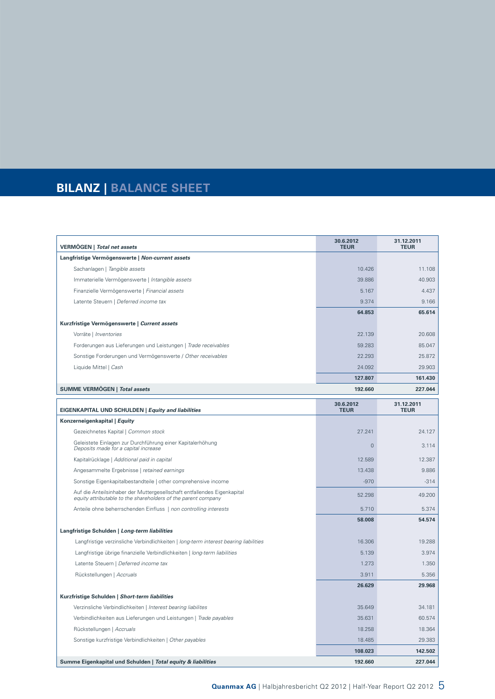# **BILANZ | BALANCE SHEET**

| VERMÖGEN   Total net assets                                                                                                              | 30.6.2012<br><b>TEUR</b> | 31.12.2011<br><b>TEUR</b> |
|------------------------------------------------------------------------------------------------------------------------------------------|--------------------------|---------------------------|
| Langfristige Vermögenswerte   Non-current assets                                                                                         |                          |                           |
| Sachanlagen   Tangible assets                                                                                                            | 10.426                   | 11.108                    |
| Immaterielle Vermögenswerte   Intangible assets                                                                                          | 39.886                   | 40.903                    |
| Finanzielle Vermögenswerte   Financial assets                                                                                            | 5.167                    | 4.437                     |
| Latente Steuern   Deferred income tax                                                                                                    | 9.374                    | 9.166                     |
|                                                                                                                                          | 64.853                   | 65.614                    |
| Kurzfristige Vermögenswerte   Current assets                                                                                             |                          |                           |
| Vorräte   Inventories                                                                                                                    | 22.139                   | 20.608                    |
| Forderungen aus Lieferungen und Leistungen   Trade receivables                                                                           | 59.283                   | 85.047                    |
| Sonstige Forderungen und Vermögenswerte / Other receivables                                                                              | 22.293                   | 25.872                    |
| Liquide Mittel   Cash                                                                                                                    | 24.092                   | 29.903                    |
|                                                                                                                                          | 127.807                  | 161.430                   |
| <b>SUMME VERMÖGEN   Total assets</b>                                                                                                     | 192.660                  | 227.044                   |
| <b>EIGENKAPITAL UND SCHULDEN   Equity and liabilities</b>                                                                                | 30.6.2012<br><b>TEUR</b> | 31.12.2011<br><b>TEUR</b> |
| Konzerneigenkapital   Equity                                                                                                             |                          |                           |
| Gezeichnetes Kapital   Common stock                                                                                                      | 27.241                   | 24.127                    |
| Geleistete Einlagen zur Durchführung einer Kapitalerhöhung<br>Deposits made for a capital increase                                       | $\mathbf{0}$             | 3.114                     |
| Kapitalrücklage   Additional paid in capital                                                                                             | 12.589                   | 12.387                    |
| Angesammelte Ergebnisse   retained earnings                                                                                              | 13.438                   | 9.886                     |
| Sonstige Eigenkapitalbestandteile   other comprehensive income                                                                           | $-970$                   | $-314$                    |
| Auf die Anteilsinhaber der Muttergesellschaft entfallendes Eigenkapital<br>equity attributable to the shareholders of the parent company | 52.298                   | 49.200                    |
| Anteile ohne beherrschenden Einfluss   non controlling interests                                                                         | 5.710                    | 5.374                     |
|                                                                                                                                          | 58.008                   | 54.574                    |
| Langfristige Schulden   Long-term liabilities                                                                                            |                          |                           |
| Langfristige verzinsliche Verbindlichkeiten   long-term interest bearing liabilities                                                     | 16.306                   | 19.288                    |
| Langfristige übrige finanzielle Verbindlichkeiten   long-term liabilities                                                                | 5.139                    | 3.974                     |
| Latente Steuern   Deferred income tax                                                                                                    | 1.273                    | 1.350                     |
| Rückstellungen   Accruals                                                                                                                | 3.911                    | 5.356                     |
|                                                                                                                                          | 26.629                   | 29.968                    |
| Kurzfristige Schulden   Short-term liabilities                                                                                           |                          |                           |
| Verzinsliche Verbindlichkeiten   Interest bearing liabilites                                                                             | 35.649                   | 34.181                    |
| Verbindlichkeiten aus Lieferungen und Leistungen   Trade payables                                                                        | 35.631                   | 60.574                    |
| Rückstellungen   Accruals                                                                                                                | 18.258                   | 18.364                    |
| Sonstige kurzfristige Verbindlichkeiten   Other payables                                                                                 | 18.485                   | 29.383                    |
|                                                                                                                                          | 108.023                  | 142.502                   |
| Summe Eigenkapital und Schulden   Total equity & liabilities                                                                             | 192.660                  | 227.044                   |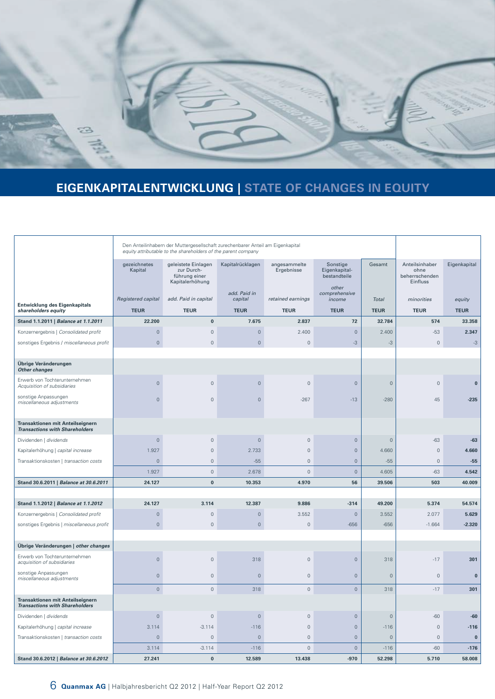

# **EIGENKAPITALENTWICKLUNG | STATE OF CHANGES IN EQUITY**

|                                                                                  | Den Anteilinhabern der Muttergesellschaft zurechenbarer Anteil am Eigenkapital<br>equity attributable to the shareholders of the parent company |                                                                       |                         |                            |                                           |                     |                                                      |              |
|----------------------------------------------------------------------------------|-------------------------------------------------------------------------------------------------------------------------------------------------|-----------------------------------------------------------------------|-------------------------|----------------------------|-------------------------------------------|---------------------|------------------------------------------------------|--------------|
|                                                                                  | gezeichnetes<br>Kapital                                                                                                                         | geleistete Einlagen<br>zur Durch-<br>führung einer<br>Kapitalerhöhung | Kapitalrücklagen        | angesammelte<br>Ergebnisse | Sonstige<br>Eigenkapital-<br>bestandteile | Gesamt              | Anteilsinhaber<br>ohne<br>beherrschenden<br>Einfluss | Eigenkapital |
| Entwicklung des Eigenkapitals                                                    | Registered capital                                                                                                                              | add. Paid in capital                                                  | add. Paid in<br>capital | retained earnings          | other<br>comprehensive<br>income          | <b>Total</b>        | minorities                                           | equity       |
| shareholders equity                                                              | <b>TEUR</b>                                                                                                                                     | <b>TEUR</b>                                                           | <b>TEUR</b>             | <b>TEUR</b>                | <b>TEUR</b>                               | <b>TEUR</b>         | <b>TEUR</b>                                          | <b>TEUR</b>  |
| Stand 1.1.2011   Balance at 1.1.2011                                             | 22.200                                                                                                                                          | $\bf{0}$                                                              | 7.675                   | 2.837                      | $72\,$                                    | 32.784              | 574                                                  | 33.358       |
| Konzernergebnis   Consolidated profit                                            | $\mathsf{O}\xspace$                                                                                                                             | $\mathbf 0$                                                           | $\circ$                 | 2.400                      | $\mathbf 0$                               | 2.400               | $-53$                                                | 2.347        |
| sonstiges Ergebnis / miscellaneous profit                                        | $\mathsf{O}\xspace$                                                                                                                             | $\mathbf 0$                                                           | $\circ$                 | $\mathbb O$                | $-3$                                      | $-3$                | $\mathbf 0$                                          | $-3$         |
|                                                                                  |                                                                                                                                                 |                                                                       |                         |                            |                                           |                     |                                                      |              |
| Übrige Veränderungen<br><b>Other changes</b>                                     |                                                                                                                                                 |                                                                       |                         |                            |                                           |                     |                                                      |              |
| Erwerb von Tochterunternehmen<br>Acquisition of subsidiaries                     | $\mathsf{O}\xspace$                                                                                                                             | $\mathbf 0$                                                           | $\circ$                 | $\mathbb O$                | $\mathbf 0$                               | $\mathsf{O}\xspace$ | $\mathbf 0$                                          | $\bf{0}$     |
| sonstige Anpassungen<br>miscellaneous adjustments                                | $\mathbf 0$                                                                                                                                     | $\mathbf 0$                                                           | $\mathbf 0$             | $-267$                     | $-13$                                     | $-280$              | 45                                                   | $-235$       |
| Transaktionen mit Anteilseignern<br><b>Transactions with Shareholders</b>        |                                                                                                                                                 |                                                                       |                         |                            |                                           |                     |                                                      |              |
| Dividenden   dividends                                                           | $\mathsf{O}\xspace$                                                                                                                             | $\mathbf 0$                                                           | $\mathsf{O}\xspace$     | $\overline{0}$             | $\mathsf{O}\xspace$                       | $\mathsf{O}\xspace$ | $-63$                                                | $-63$        |
| Kapitalerhöhung   capital increase                                               | 1.927                                                                                                                                           | $\mathbf 0$                                                           | 2.733                   | $\mathbb O$                | $\mathsf{O}\xspace$                       | 4.660               | $\mathbf 0$                                          | 4.660        |
| Transaktionskosten   transaction costs                                           | $\mathbb O$                                                                                                                                     | $\mathbf 0$                                                           | $-55$                   | $\mathbb O$                | $\mathbf 0$                               | $-55$               | $\mathbb O$                                          | $-55$        |
|                                                                                  | 1.927                                                                                                                                           | $\mathbb O$                                                           | 2.678                   | $\mathbf 0$                | $\mathsf{O}\xspace$                       | 4.605               | $-63$                                                | 4.542        |
| Stand 30.6.2011   Balance at 30.6.2011                                           | 24.127                                                                                                                                          | $\bf{0}$                                                              | 10.353                  | 4.970                      | 56                                        | 39.506              | 503                                                  | 40.009       |
|                                                                                  |                                                                                                                                                 |                                                                       |                         |                            |                                           |                     |                                                      |              |
| Stand 1.1.2012   Balance at 1.1.2012                                             | 24.127                                                                                                                                          | 3.114                                                                 | 12.387                  | 9.886                      | $-314$                                    | 49.200              | 5.374                                                | 54.574       |
| Konzernergebnis   Consolidated profit                                            | $\mathbf 0$                                                                                                                                     | $\mathbf 0$                                                           | $\circ$                 | 3.552                      | $\mathbf 0$                               | 3.552               | 2.077                                                | 5.629        |
| sonstiges Ergebnis   miscellaneous profit                                        | $\mathsf{O}\xspace$                                                                                                                             | $\mathbf 0$                                                           | $\mathsf{O}\xspace$     | $\mathbb O$                | $-656$                                    | $-656$              | $-1.664$                                             | $-2.320$     |
|                                                                                  |                                                                                                                                                 |                                                                       |                         |                            |                                           |                     |                                                      |              |
| Übrige Veränderungen   other changes                                             |                                                                                                                                                 |                                                                       |                         |                            |                                           |                     |                                                      |              |
| Erwerb von Tochterunternehmen<br>acquisition of subsidiaries                     | $\mathsf{O}\xspace$                                                                                                                             | $\mathbf 0$                                                           | 318                     | $\mathbb O$                | $\mathbf 0$                               | 318                 | $-17$                                                | 301          |
| sonstige Anpassungen<br>miscellaneous adjustments                                | $\mathbf 0$                                                                                                                                     | $\mathbf 0$                                                           | $\mathbf 0$             | $\mathbb O$                | $\mathbf 0$                               | $\circ$             | $\mathbf 0$                                          | $\bf{0}$     |
|                                                                                  | $\mathsf{O}\xspace$                                                                                                                             | $\mathbb O$                                                           | 318                     | $\mathbb O$                | $\overline{0}$                            | 318                 | $-17$                                                | 301          |
| <b>Transaktionen mit Anteilseignern</b><br><b>Transactions with Shareholders</b> |                                                                                                                                                 |                                                                       |                         |                            |                                           |                     |                                                      |              |
| Dividenden   dividends                                                           | $\mathbf 0$                                                                                                                                     | $\mathbf 0$                                                           | $\mathsf{O}\xspace$     | $\mathbb O$                | $\mathsf{O}$                              | $\mathbb O$         | $-60$                                                | $-60$        |
| Kapitalerhöhung   capital increase                                               | 3.114                                                                                                                                           | $-3.114$                                                              | $-116$                  | $\mathbb O$                | $\mathbf 0$                               | $-116$              | $\mathbf 0$                                          | $-116$       |
| Transaktionskosten   transaction costs                                           | $\mathbb O$                                                                                                                                     | $\mathbb O$                                                           | $\mathsf{O}\xspace$     | $\mathbb O$                | $\mathsf{O}\xspace$                       | $\circ$             | $\mathbb O$                                          | $\bf{0}$     |
|                                                                                  | 3.114                                                                                                                                           | $-3.114$                                                              | $-116$                  | $\mathbb O$                | $\mathbf 0$                               | $-116$              | $-60$                                                | $-176$       |
| Stand 30.6.2012   Balance at 30.6.2012                                           | 27.241                                                                                                                                          | $\pmb{0}$                                                             | 12.589                  | 13.438                     | $-970$                                    | 52.298              | 5.710                                                | 58.008       |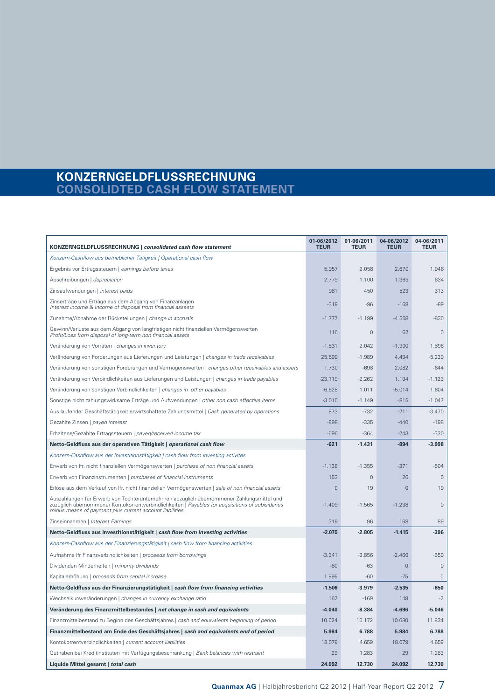### **KONZERNGELDFLUSSRECHNUNG CONSOLIDTED CASH FLOW STATEMENT**

| KONZERNGELDFLUSSRECHNUNG   consolidated cash flow statement                                                                                                                                                                                             | 01-06/2012<br><b>TEUR</b> | 01-06/2011<br><b>TEUR</b> | 04-06/2012<br><b>TEUR</b> | 04-06/2011<br><b>TEUR</b> |
|---------------------------------------------------------------------------------------------------------------------------------------------------------------------------------------------------------------------------------------------------------|---------------------------|---------------------------|---------------------------|---------------------------|
| Konzern-Cashflow aus betrieblicher Tätigkeit   Operational cash flow                                                                                                                                                                                    |                           |                           |                           |                           |
| Ergebnis vor Ertragssteuern   earnings before taxes                                                                                                                                                                                                     | 5.957                     | 2.058                     | 2.670                     | 1.046                     |
| Abschreibungen   depreciation                                                                                                                                                                                                                           | 2.779                     | 1.100                     | 1.369                     | 634                       |
| Zinsaufwendungen   interest paids                                                                                                                                                                                                                       | 981                       | 450                       | 523                       | 313                       |
| Zinserträge und Erträge aus dem Abgang von Finanzanlagen<br>Interest income & Income of disposal from financial asssets                                                                                                                                 | $-319$                    | $-96$                     | $-168$                    | $-89$                     |
| Zunahme/Abnahme der Rückstellungen   change in accruals                                                                                                                                                                                                 | $-1.777$                  | $-1.199$                  | $-4.558$                  | $-830$                    |
| Gewinn/Verluste aus dem Abgang von langfristigen nicht finanziellen Vermögenswerten<br>Profit/Loss from disposal of long-term non financial assets                                                                                                      | 116                       | $\mathsf{O}\xspace$       | 62                        | $\mathsf{O}\xspace$       |
| Veränderung von Vorräten   changes in inventory                                                                                                                                                                                                         | $-1.531$                  | 2.042                     | $-1.900$                  | 1.896                     |
| Veränderung von Forderungen aus Lieferungen und Leistungen   changes in trade receivables                                                                                                                                                               | 25.599                    | $-1.989$                  | 4.434                     | $-5.230$                  |
| Veränderung von sonstigen Forderungen und Vermögenswerten   changes other receivables and assets                                                                                                                                                        | 1.730                     | $-698$                    | 2.082                     | $-644$                    |
| Veränderung von Verbindlichkeiten aus Lieferungen und Leistungen   changes in trade payables                                                                                                                                                            | $-23.119$                 | $-2.262$                  | 1.104                     | $-1.123$                  |
| Veränderung von sonstigen Verbindlichkeiten   changes in other payables                                                                                                                                                                                 | $-6.528$                  | 1.011                     | $-5.014$                  | 1.604                     |
| Sonstige nicht zahlungswirksame Erträge und Aufwendungen   other non cash effective items                                                                                                                                                               | $-3.015$                  | $-1.149$                  | $-815$                    | $-1.047$                  |
| Aus laufender Geschäftstätigkeit erwirtschaftete Zahlungsmittel   Cash generated by operations                                                                                                                                                          | 873                       | $-732$                    | $-211$                    | $-3.470$                  |
| Gezahlte Zinsen   payed interest                                                                                                                                                                                                                        | $-898$                    | $-335$                    | $-440$                    | $-198$                    |
| Erhaltene/Gezahlte Ertragssteuern   payed/received income tax                                                                                                                                                                                           | $-596$                    | $-364$                    | $-243$                    | $-330$                    |
| Netto-Geldfluss aus der operativen Tätigkeit   operational cash flow                                                                                                                                                                                    | $-621$                    | $-1.431$                  | $-894$                    | $-3.998$                  |
| Konzern-Cashflow aus der Investitionstätigkeit   cash flow from investing activites                                                                                                                                                                     |                           |                           |                           |                           |
| Erwerb von Ifr. nicht finanziellen Vermögenswerten   purchase of non financial assets                                                                                                                                                                   | $-1.138$                  | $-1.355$                  | $-371$                    | $-504$                    |
| Erwerb von Finanzinstrumenten   purchases of financial instruments                                                                                                                                                                                      | 153                       | $\Omega$                  | 26                        | $\mathsf{O}\xspace$       |
| Erlöse aus dem Verkauf von Ifr. nicht finanziellen Vermögenswerten   sale of non financial assets                                                                                                                                                       | $\overline{0}$            | 19                        | $\overline{0}$            | 19                        |
| Auszahlungen für Erwerb von Tochterunternehmen abzüglich übernommener Zahlungsmittel und<br>zuzüglich übernommener Kontokorrentverbindlichkeiten   Payables for acquisitions of subisidaries<br>minus means of payment plus current account liabilities | $-1.409$                  | $-1.565$                  | $-1.238$                  | $\mathbf 0$               |
| Zinseinnahmen   Interest Earnings                                                                                                                                                                                                                       | 319                       | 96                        | 168                       | 89                        |
| Netto-Geldfluss aus Investitionstätigkeit   cash flow from investing activities                                                                                                                                                                         | $-2.075$                  | $-2.805$                  | $-1.415$                  | $-396$                    |
| Konzern-Cashflow aus der Finanzierungstätigkeit   cash flow from financing activities                                                                                                                                                                   |                           |                           |                           |                           |
| Aufnahme Ifr Finanzverbindlichkeiten   proceeds from borrowings                                                                                                                                                                                         | $-3.341$                  | $-3.856$                  | $-2.460$                  | $-650$                    |
| Dividenden Minderheiten   minority dividends                                                                                                                                                                                                            | $-60$                     | $-63$                     | $\overline{0}$            | $\overline{0}$            |
| Kapitalerhöhung   proceeds from capital increase                                                                                                                                                                                                        | 1.895                     | $-60$                     | $-75$                     | $\mathbf{0}$              |
| Netto-Geldfluss aus der Finanzierungstätigkeit   cash flow from financing activities                                                                                                                                                                    | $-1.506$                  | $-3.979$                  | $-2.535$                  | $-650$                    |
| Wechselkursveränderungen   changes in currency exchange ratio                                                                                                                                                                                           | 162                       | $-169$                    | 148                       | $-2$                      |
| Veränderung des Finanzmittelbestandes   net change in cash and equivalents                                                                                                                                                                              | $-4.040$                  | $-8.384$                  | $-4.696$                  | $-5.046$                  |
| Finanzmittelbestand zu Beginn des Geschäftsjahres   cash and equivalents beginning of period                                                                                                                                                            | 10.024                    | 15.172                    | 10.680                    | 11.834                    |
| Finanzmittelbestand am Ende des Geschäftsjahres   cash and equivalents end of period                                                                                                                                                                    | 5.984                     | 6.788                     | 5.984                     | 6.788                     |
| Kontokorrentverbindlichkeiten   current account liabilities                                                                                                                                                                                             | 18.079                    | 4.659                     | 18.079                    | 4.659                     |
| Guthaben bei Kreditinstituten mit Verfügungsbeschränkung   Bank balances with restraint                                                                                                                                                                 | 29                        | 1.283                     | 29                        | 1.283                     |
| Liquide Mittel gesamt   total cash                                                                                                                                                                                                                      | 24.092                    | 12.730                    | 24.092                    | 12.730                    |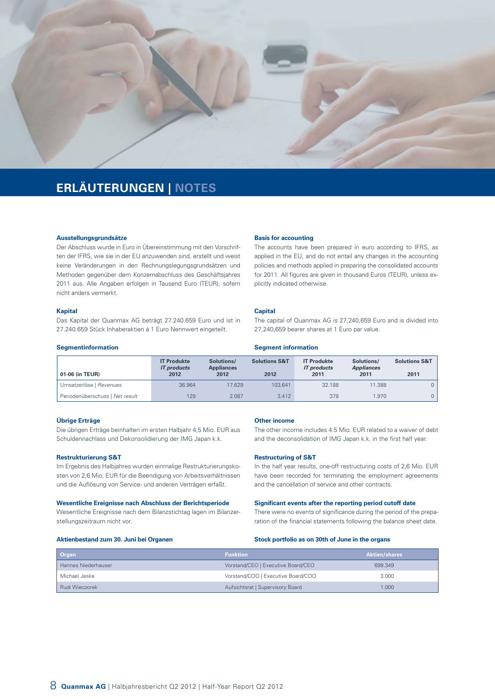

## **ERLÄUTERUNGEN | NOTES**

#### **Ausstellungsgrundsätze**

Der Abschluss wurde in Euro in Übereinstimmung mit den Vorschriften der IFRS, wie sie in der EU anzuwenden sind, erstellt und weist keine Veränderungen in den Rechnungslegungsgrundsätzen und Methoden gegenüber dem Konzernabschluss des Geschäftsjahres 2011 aus. Alle Angaben erfolgen in Tausend Euro (TEUR), sofern nicht anders vermerkt.

#### **Kapital**

Das Kapital der Quanmax AG beträgt 27.240.659 Euro und ist in 27.240.659 Stück Inhaberaktien á 1 Euro Nennwert eingeteilt.

#### **Segmentinformation**

#### **Basis for accounting**

The accounts have been prepared in euro according to IFRS, as applied in the EU, and do not entail any changes in the accounting policies and methods applied in preparing the consolidated accounts for 2011. All figures are given in thousand Euros (TEUR), unless explicitly indicated otherwise.

#### **Capital**

The capital of Quanmax AG is 27,240,659 Euro and is divided into 27,240,659 bearer shares at 1 Euro par value.

#### **Segment information**

| 01-06 (in TEUR)                 | <b>IT Produkte</b><br><b>IT</b> products<br>2012 | Solutions/<br><b>Appliances</b><br>2012 | <b>Solutions S&amp;T</b><br>2012 | <b>IT Produkte</b><br><b>IT</b> products<br>2011 | Solutions/<br><b>Appliances</b><br>2011 | <b>Solutions S&amp;T</b><br>2011 |
|---------------------------------|--------------------------------------------------|-----------------------------------------|----------------------------------|--------------------------------------------------|-----------------------------------------|----------------------------------|
| Umsatzerlöse   Revenues         | 36.964                                           | 17.629                                  | 103.641                          | 32.188                                           | 11.388                                  |                                  |
| Periodenüberschuss   Net result | 129                                              | 2.087                                   | 3.412                            | 378                                              | .970                                    |                                  |

#### **Übrige Erträge**

Die übrigen Erträge beinhalten im ersten Halbjahr 4,5 Mio. EUR aus Schuldennachlass und Dekonsolidierung der IMG Japan k.k.

#### **Restrukturierung S&T**

Im Ergebnis des Halbjahres wurden einmalige Restrukturierungskosten von 2,6 Mio. EUR für die Beendigung von Arbeitsverhältnissen und die Auflösung von Service- und anderen Verträgen erfaßt.

#### **Wesentliche Ereignisse nach Abschluss der Berichtsperiode**

Wesentliche Ereignisse nach dem Bilanzstichtag lagen im Bilanzerstellungszeitraum nicht vor.

#### **Other income**

The other income includes 4.5 Mio. EUR related to a waiver of debt and the deconsolidation of IMG Japan k.k. in the first half year.

#### **Restructuring of S&T**

In the half year results, one-off restructuring costs of 2,6 Mio. EUR have been recorded for terminating the employment agreements and the cancellation of service and other contracts.

#### **Significant events after the reporting period cutoff date**

There were no events of significance during the period of the preparation of the financial statements following the balance sheet date.

#### **Aktienbestand zum 30. Juni bei Organen**

#### **Stock portfolio as on 30th of June in the organs**

| <b>Organ</b>        | <b>Funktion</b>                    | <b>Aktien/shares</b> |
|---------------------|------------------------------------|----------------------|
| Hannes Niederhauser | Vorstand/CEO   Executive Board/CEO | 699,349              |
| Michael Jeske       | Vorstand/COO   Executive Board/COO | 3.000                |
| Rudi Wieczorek      | Aufsichtsrat   Supervisory Board   | 1.000                |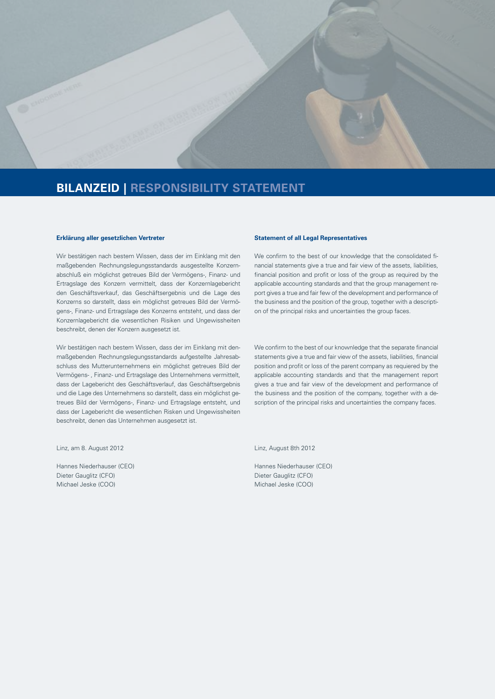

## **BILANZEID | RESPONSIBILITY STATEMENT**

#### **Erklärung aller gesetzlichen Vertreter**

Wir bestätigen nach bestem Wissen, dass der im Einklang mit den maßgebenden Rechnungslegungsstandards ausgestellte Konzernabschluß ein möglichst getreues Bild der Vermögens-, Finanz- und Ertragslage des Konzern vermittelt, dass der Konzernlagebericht den Geschäftsverkauf, das Geschäftsergebnis und die Lage des Konzerns so darstellt, dass ein möglichst getreues Bild der Vermögens-, Finanz- und Ertragslage des Konzerns entsteht, und dass der Konzernlagebericht die wesentlichen Risiken und Ungewissheiten beschreibt, denen der Konzern ausgesetzt ist.

Wir bestätigen nach bestem Wissen, dass der im Einklang mit denmaßgebenden Rechnungslegungsstandards aufgestellte Jahresabschluss des Mutterunternehmens ein möglichst getreues Bild der Vermögens- , Finanz- und Ertragslage des Unternehmens vermittelt, dass der Lagebericht des Geschäftsverlauf, das Geschäftsergebnis und die Lage des Unternehmens so darstellt, dass ein möglichst getreues Bild der Vermögens-, Finanz- und Ertragslage entsteht, und dass der Lagebericht die wesentlichen Risken und Ungewissheiten beschreibt, denen das Unternehmen ausgesetzt ist.

Linz, am 8. August 2012

Hannes Niederhauser (CEO) Dieter Gauglitz (CFO) Michael Jeske (COO)

#### **Statement of all Legal Representatives**

We confirm to the best of our knowledge that the consolidated financial statements give a true and fair view of the assets, liabilities, financial position and profit or loss of the group as required by the applicable accounting standards and that the group management report gives a true and fair few of the development and performance of the business and the position of the group, together with a description of the principal risks and uncertainties the group faces.

We confirm to the best of our knownledge that the separate financial statements give a true and fair view of the assets, liabilities, financial position and profit or loss of the parent company as requiered by the applicable accounting standards and that the management report gives a true and fair view of the development and performance of the business and the position of the company, together with a description of the principal risks and uncertainties the company faces.

Linz, August 8th 2012

Hannes Niederhauser (CEO) Dieter Gauglitz (CFO) Michael Jeske (COO)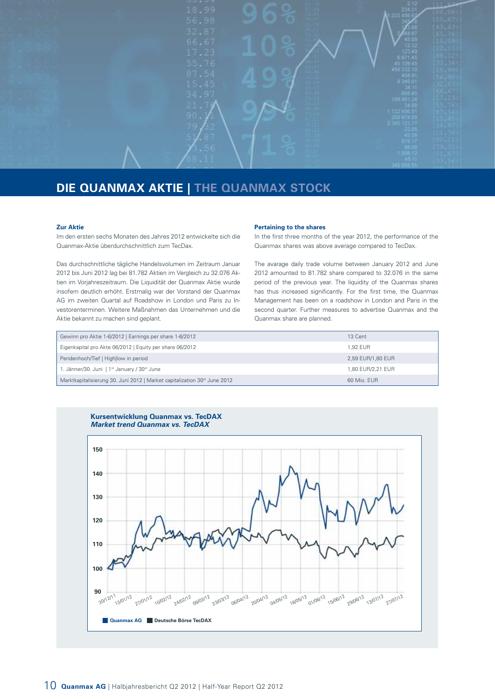

## **DIE QUANMAX AKTIE | THE QUANMAX STOCK**

#### **Zur Aktie**

Im den ersten sechs Monaten des Jahres 2012 entwickelte sich die Quanmax-Aktie überdurchschnittlich zum TecDax.

Das durchschnittliche tägliche Handelsvolumen im Zeitraum Januar 2012 bis Juni 2012 lag bei 81.782 Aktien im Vergleich zu 32.076 Aktien im Vorjahreszeitraum. Die Liquidität der Quanmax Aktie wurde insofern deutlich erhöht. Erstmalig war der Vorstand der Quanmax AG im zweiten Quartal auf Roadshow in London und Paris zu Investorenterminen. Weitere Maßnahmen das Unternehmen und die Aktie bekannt zu machen sind geplant.

#### **Pertaining to the shares**

In the first three months of the year 2012, the performance of the Quanmax shares was above average compared to TecDax.

The avarage daily trade volume between January 2012 and June 2012 amounted to 81.782 share compared to 32.076 in the same period of the previous year. The liquidity of the Quanmax shares has thus increased significantly. For the first time, the Quanmax Management has been on a roadshow in London and Paris in the second quarter. Further measures to advertise Quanmax and the Quanmax share are planned.

| Gewinn pro Aktie 1-6/2012   Earnings per share 1-6/2012                               | 13 Cent           |
|---------------------------------------------------------------------------------------|-------------------|
| Eigenkapital pro Akte 06/2012   Equity per share 06/2012                              | 1.92 FUR          |
| Peridenhoch/Tief   Highllow in period                                                 | 2,59 EUR/1,80 EUR |
| 1. Jänner/30. Juni   1st January / 30st June                                          | 1,80 EUR/2,21 EUR |
| Marktkapitalisierung 30. Juni 2012   Market capitalization 30 <sup>st</sup> June 2012 | 60 Mio. EUR       |



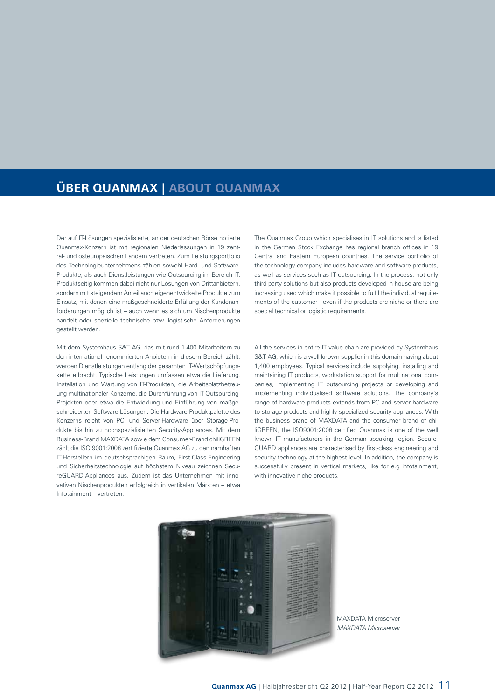## **ÜBER QUANMAX | ABOUT QUANMAX**

Der auf IT-Lösungen spezialisierte, an der deutschen Börse notierte Quanmax-Konzern ist mit regionalen Niederlassungen in 19 zentral- und osteuropäischen Ländern vertreten. Zum Leistungsportfolio des Technologieunternehmens zählen sowohl Hard- und Software-Produkte, als auch Dienstleistungen wie Outsourcing im Bereich IT. Produktseitig kommen dabei nicht nur Lösungen von Drittanbietern, sondern mit steigendem Anteil auch eigenentwickelte Produkte zum Einsatz, mit denen eine maßgeschneiderte Erfüllung der Kundenanforderungen möglich ist – auch wenn es sich um Nischenprodukte handelt oder spezielle technische bzw. logistische Anforderungen gestellt werden.

Mit dem Systemhaus S&T AG, das mit rund 1.400 Mitarbeitern zu den international renommierten Anbietern in diesem Bereich zählt, werden Dienstleistungen entlang der gesamten IT-Wertschöpfungskette erbracht. Typische Leistungen umfassen etwa die Lieferung, Installation und Wartung von IT-Produkten, die Arbeitsplatzbetreuung multinationaler Konzerne, die Durchführung von IT-Outsourcing-Projekten oder etwa die Entwicklung und Einführung von maßgeschneiderten Software-Lösungen. Die Hardware-Produktpalette des Konzerns reicht von PC- und Server-Hardware über Storage-Produkte bis hin zu hochspezialisierten Security-Appliances. Mit dem Business-Brand MAXDATA sowie dem Consumer-Brand chiliGREEN zählt die ISO 9001:2008 zertifizierte Quanmax AG zu den namhaften IT-Herstellern im deutschsprachigen Raum, First-Class-Engineering und Sicherheitstechnologie auf höchstem Niveau zeichnen SecureGUARD-Appliances aus. Zudem ist das Unternehmen mit innovativen Nischenprodukten erfolgreich in vertikalen Märkten – etwa Infotainment – vertreten.

The Quanmax Group which specialises in IT solutions and is listed in the German Stock Exchange has regional branch offices in 19 Central and Eastern European countries. The service portfolio of the technology company includes hardware and software products, as well as services such as IT outsourcing. In the process, not only third-party solutions but also products developed in-house are being increasing used which make it possible to fulfil the individual requirements of the customer - even if the products are niche or there are special technical or logistic requirements.

All the services in entire IT value chain are provided by Systemhaus S&T AG, which is a well known supplier in this domain having about 1,400 employees. Typical services include supplying, installing and maintaining IT products, workstation support for multinational companies, implementing IT outsourcing projects or developing and implementing individualised software solutions. The company's range of hardware products extends from PC and server hardware to storage products and highly specialized security appliances. With the business brand of MAXDATA and the consumer brand of chiliGREEN, the ISO9001:2008 certified Quanmax is one of the well known IT manufacturers in the German speaking region. Secure-GUARD appliances are characterised by first-class engineering and security technology at the highest level. In addition, the company is successfully present in vertical markets, like for e.g infotainment, with innovative niche products.



MAXDATA Microserver *MAXDATA Microserver*